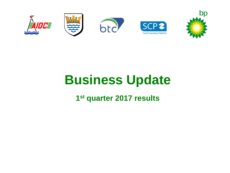

# **Business Update**

### **1 st quarter 2017 results**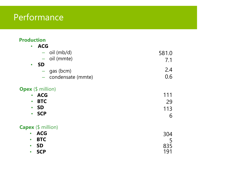# Performance

### **Production**

| <b>ACG</b><br>$\bullet$                       |       |
|-----------------------------------------------|-------|
| oil (mb/d)                                    | 581.0 |
| oil (mmte)<br>$\overline{\phantom{0}}$        | 7.1   |
| <b>SD</b><br>$\bullet$                        |       |
| gas (bcm)<br>-                                | 2.4   |
| condensate (mmte)<br>$\overline{\phantom{m}}$ | 0.6   |
| <b>Opex</b> (\$ million)                      |       |
| <b>ACG</b><br>$\bullet$                       | 111   |
| <b>BTC</b><br>$\bullet$                       | 29    |
| <b>SD</b><br>$\bullet$                        | 113   |
| <b>SCP</b><br>$\bullet$                       | 6     |
| <b>Capex</b> (\$ million)                     |       |
| <b>ACG</b><br>$\bullet$                       | 304   |
| <b>BTC</b><br>$\bullet$                       | 5     |
| <b>SD</b><br>$\bullet$                        | 835   |
| <b>SCP</b><br>$\bullet$                       | 191   |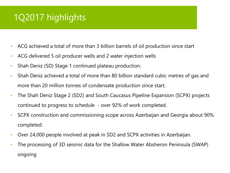# 1Q2017 highlights

- ACG achieved a total of more than 3 billion barrels of oil production since start
- ACG delivered 5 oil producer wells and 2 water injection wells
- Shah Deniz (SD) Stage 1 continued plateau production.
- Shah Deniz achieved a total of more than 80 billion standard cubic metres of gas and more than 20 million tonnes of condensate production since start.
- The Shah Deniz Stage 2 (SD2) and South Caucasus Pipeline Expansion (SCPX) projects continued to progress to schedule - over 92% of work completed.
- SCPX construction and commissioning scope across Azerbaijan and Georgia about 90% completed.
- Over 24,000 people involved at peak in SD2 and SCPX activities in Azerbaijan.
- The processing of 3D seismic data for the Shallow Water Absheron Peninsula (SWAP) ongoing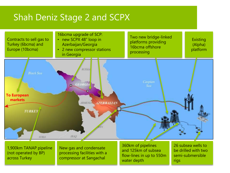### Shah Deniz Stage 2 and SCPX

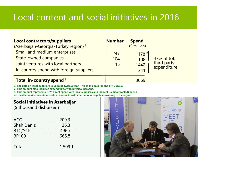# Local content and social initiatives in 2016

| <b>Local contractors/suppliers</b><br>(Azerbaijan-Georgia-Turkey region) <sup>1</sup>                                                         | <b>Number</b>    | <b>Spend</b><br>$$$ million) |                                            |
|-----------------------------------------------------------------------------------------------------------------------------------------------|------------------|------------------------------|--------------------------------------------|
| Small and medium enterprises<br><b>State-owned companies</b><br>Joint ventures with local partners<br>In-country spend with foreign suppliers | 247<br>104<br>15 | 1178 2<br>108<br>1442<br>341 | 47% of total<br>third party<br>expenditure |
| Total in-country spend <sup>3</sup>                                                                                                           |                  | 3069                         |                                            |

**1. The data on local suppliers is updated twice a year. This is the data for end of 4Q 2016.**

**2. This amount also includes expenditures with physical persons.**

**3. This amount represents BP's direct spend with local suppliers and indirect (subcontracted) spend on local labour/services/materials in contracts with international suppliers working in the region**

### **Social initiatives in Azerbaijan**

(\$ thousand disbursed)

| ACG               | 209.3   |
|-------------------|---------|
| <b>Shah Deniz</b> | 136.3   |
| <b>BTC/SCP</b>    | 496.7   |
| <b>BP100</b>      | 666.8   |
| Total             | 1,509.1 |

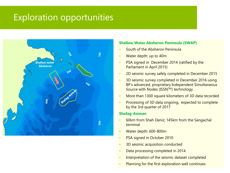### Exploration opportunities



#### **Shallow Water Absheron Peninsula (SWAP)**

- South of the Absheron Peninsula
- Water depth: up to 40m
- PSA signed in December 2014 (ratified by the Parliament in April 2015)
- 2D seismic survey safely completed in December 2015
- 3D seismic survey completed in December 2016 using BP's advanced, proprietary Independent Simultaneous Source with Nodes (ISSN™) technology.
- More than 1300 square kilometers of 3D data recorded
- Processing of 3D data ongoing, expected to complete by the 3rd quarter of 2017

#### **Shafag-Asiman**

- 60km from Shah Deniz; 145km from the Sangachal terminal
- Water depth: 600-800m
- PSA signed in October 2010
- 3D seismic acquisition conducted
- Data processing completed in 2014
- Interpretation of the seismic dataset completed
- Planning for the first exploration well continues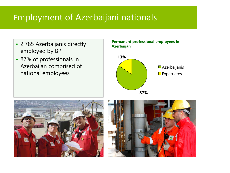# Employment of Azerbaijani nationals

- 2,785 Azerbaijanis directly employed by BP
- 87% of professionals in Azerbaijan comprised of national employees

### **Permanent professional employees in Azerbaijan**